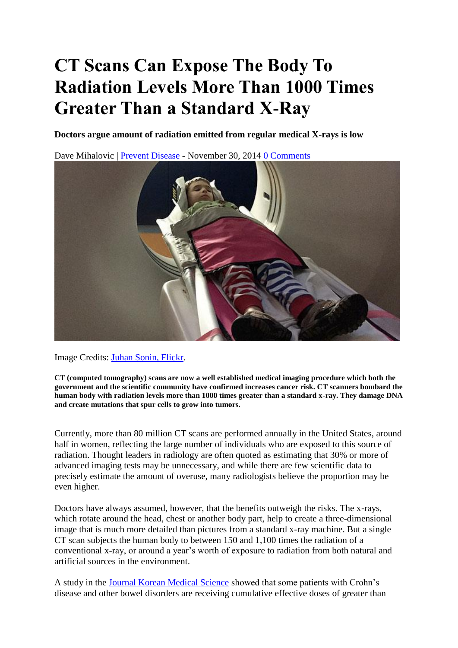## **CT Scans Can Expose The Body To Radiation Levels More Than 1000 Times Greater Than a Standard X-Ray**

**Doctors argue amount of radiation emitted from regular medical X-rays is low**

Dave Mihalovic | [Prevent Disease](http://preventdisease.com/news/14/112714_CT-Scans-Expose-Body-Radiation-Levels-1000-Times-Greater-Standard-X-Ray.shtml) - November 30, 2014 [0 Comments](https://www.infowars.com/ct-scans-can-expose-the-body-to-radiation-levels-more-than-1000-times-greater-than-a-standard-x-ray/#disqus_thread)



Image Credits: [Juhan Sonin, Flickr.](https://www.flickr.com/photos/juhansonin/)

**CT (computed tomography) scans are now a well established medical imaging procedure which both the government and the scientific community have confirmed increases cancer risk. CT scanners bombard the human body with radiation levels more than 1000 times greater than a standard x-ray. They damage DNA and create mutations that spur cells to grow into tumors.** 

Currently, more than 80 million CT scans are performed annually in the United States, around half in women, reflecting the large number of individuals who are exposed to this source of radiation. Thought leaders in radiology are often quoted as estimating that 30% or more of advanced imaging tests may be unnecessary, and while there are few scientific data to precisely estimate the amount of overuse, many radiologists believe the proportion may be even higher.

Doctors have always assumed, however, that the benefits outweigh the risks. The x-rays, which rotate around the head, chest or another body part, help to create a three-dimensional image that is much more detailed than pictures from a standard x-ray machine. But a single CT scan subjects the human body to between 150 and 1,100 times the radiation of a conventional x-ray, or around a year's worth of exposure to radiation from both natural and artificial sources in the environment.

A study in the [Journal Korean Medical Science](http://www.ncbi.nlm.nih.gov/pubmed/15082885) showed that some patients with Crohn's disease and other bowel disorders are receiving cumulative effective doses of greater than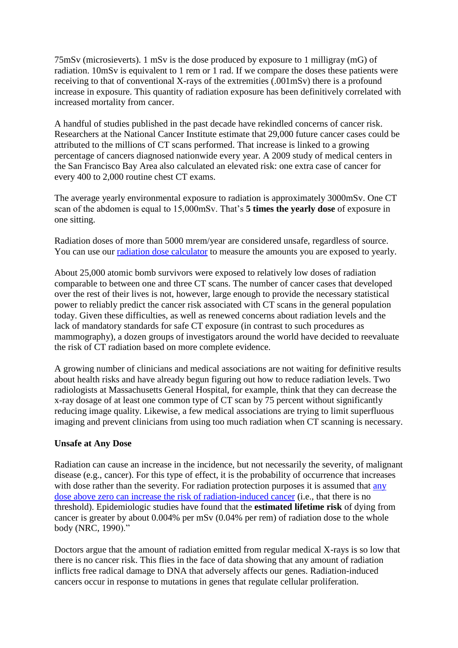75mSv (microsieverts). 1 mSv is the dose produced by exposure to 1 milligray (mG) of radiation. 10mSv is equivalent to 1 rem or 1 rad. If we compare the doses these patients were receiving to that of conventional X-rays of the extremities (.001mSv) there is a profound increase in exposure. This quantity of radiation exposure has been definitively correlated with increased mortality from cancer.

A handful of studies published in the past decade have rekindled concerns of cancer risk. Researchers at the National Cancer Institute estimate that 29,000 future cancer cases could be attributed to the millions of CT scans performed. That increase is linked to a growing percentage of cancers diagnosed nationwide every year. A 2009 study of medical centers in the San Francisco Bay Area also calculated an elevated risk: one extra case of cancer for every 400 to 2,000 routine chest CT exams.

The average yearly environmental exposure to radiation is approximately 3000mSv. One CT scan of the abdomen is equal to 15,000mSv. That's **5 times the yearly dose** of exposure in one sitting.

Radiation doses of more than 5000 mrem/year are considered unsafe, regardless of source. You can use our [radiation dose calculator](http://preventdisease.com/healthtools/articles/radiation.shtml) to measure the amounts you are exposed to yearly.

About 25,000 atomic bomb survivors were exposed to relatively low doses of radiation comparable to between one and three CT scans. The number of cancer cases that developed over the rest of their lives is not, however, large enough to provide the necessary statistical power to reliably predict the cancer risk associated with CT scans in the general population today. Given these difficulties, as well as renewed concerns about radiation levels and the lack of mandatory standards for safe CT exposure (in contrast to such procedures as mammography), a dozen groups of investigators around the world have decided to reevaluate the risk of CT radiation based on more complete evidence.

A growing number of clinicians and medical associations are not waiting for definitive results about health risks and have already begun figuring out how to reduce radiation levels. Two radiologists at Massachusetts General Hospital, for example, think that they can decrease the x-ray dosage of at least one common type of CT scan by 75 percent without significantly reducing image quality. Likewise, a few medical associations are trying to limit superfluous imaging and prevent clinicians from using too much radiation when CT scanning is necessary.

## **Unsafe at Any Dose**

Radiation can cause an increase in the incidence, but not necessarily the severity, of malignant disease (e.g., cancer). For this type of effect, it is the probability of occurrence that increases with dose rather than the severity. For radiation protection purposes it is assumed that [any](http://www.mun.ca/biology/scarr/Dose-Response_Curve.html)  dose above zero can increase [the risk of radiation-induced cancer](http://www.mun.ca/biology/scarr/Dose-Response_Curve.html) (i.e., that there is no threshold). Epidemiologic studies have found that the **estimated lifetime risk** of dying from cancer is greater by about 0.004% per mSv (0.04% per rem) of radiation dose to the whole body (NRC, 1990)."

Doctors argue that the amount of radiation emitted from regular medical X-rays is so low that there is no cancer risk. This flies in the face of data showing that any amount of radiation inflicts free radical damage to DNA that adversely affects our genes. Radiation-induced cancers occur in response to mutations in genes that regulate cellular proliferation.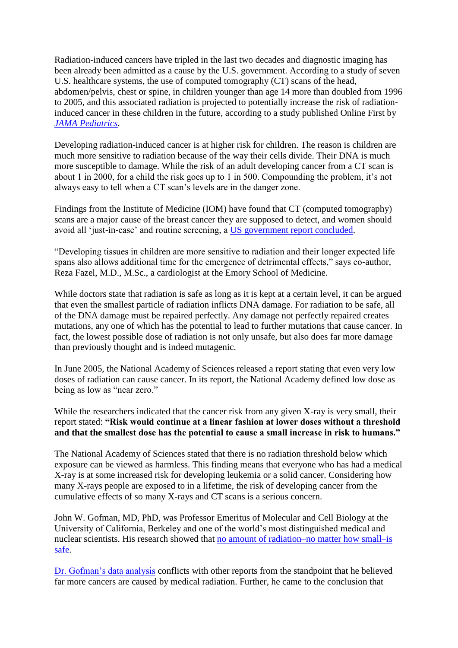Radiation-induced cancers have tripled in the last two decades and diagnostic imaging has been already been admitted as a cause by the U.S. government. According to a study of seven U.S. healthcare systems, the use of computed tomography (CT) scans of the head, abdomen/pelvis, chest or spine, in children younger than age 14 more than doubled from 1996 to 2005, and this associated radiation is projected to potentially increase the risk of radiationinduced cancer in these children in the future, according to a study published Online First by *[JAMA Pediatrics](http://archpedi.jamanetwork.com/journal.aspx)*.

Developing radiation-induced cancer is at higher risk for children. The reason is children are much more sensitive to radiation because of the way their cells divide. Their DNA is much more susceptible to damage. While the risk of an adult developing cancer from a CT scan is about 1 in 2000, for a child the risk goes up to 1 in 500. Compounding the problem, it's not always easy to tell when a CT scan's levels are in the danger zone.

Findings from the Institute of Medicine (IOM) have found that CT (computed tomography) scans are a major cause of the breast cancer they are supposed to detect, and women should avoid all 'just-in-case' and routine screening, a [US government report concluded.](http://preventdisease.com/news/12/061512_US-Government-Admits-CT-Scans-Are-a-Major-Cause-of-Breast-Cancer-They-Are-Supposed-To-Detect.shtml)

"Developing tissues in children are more sensitive to radiation and their longer expected life spans also allows additional time for the emergence of detrimental effects," says co-author, Reza Fazel, M.D., M.Sc., a cardiologist at the Emory School of Medicine.

While doctors state that radiation is safe as long as it is kept at a certain level, it can be argued that even the smallest particle of radiation inflicts DNA damage. For radiation to be safe, all of the DNA damage must be repaired perfectly. Any damage not perfectly repaired creates mutations, any one of which has the potential to lead to further mutations that cause cancer. In fact, the lowest possible dose of radiation is not only unsafe, but also does far more damage than previously thought and is indeed mutagenic.

In June 2005, the National Academy of Sciences released a report stating that even very low doses of radiation can cause cancer. In its report, the National Academy defined low dose as being as low as "near zero."

While the researchers indicated that the cancer risk from any given X-ray is very small, their report stated: **"Risk would continue at a linear fashion at lower doses without a threshold and that the smallest dose has the potential to cause a small increase in risk to humans."**

The National Academy of Sciences stated that there is no radiation threshold below which exposure can be viewed as harmless. This finding means that everyone who has had a medical X-ray is at some increased risk for developing leukemia or a solid cancer. Considering how many X-rays people are exposed to in a lifetime, the risk of developing cancer from the cumulative effects of so many X-rays and CT scans is a serious concern.

John W. Gofman, MD, PhD, was Professor Emeritus of Molecular and Cell Biology at the University of California, Berkeley and one of the world's most distinguished medical and nuclear scientists. His research showed that [no amount of radiation–no matter how small–is](http://www.ratical.com/radiation/CNR/synapseP.html)  [safe.](http://www.ratical.com/radiation/CNR/synapseP.html)

[Dr. Gofman's data analysis](http://www.ratical.org/radiation/CNR/RMP/index.html) conflicts with other reports from the standpoint that he believed far more cancers are caused by medical radiation. Further, he came to the conclusion that